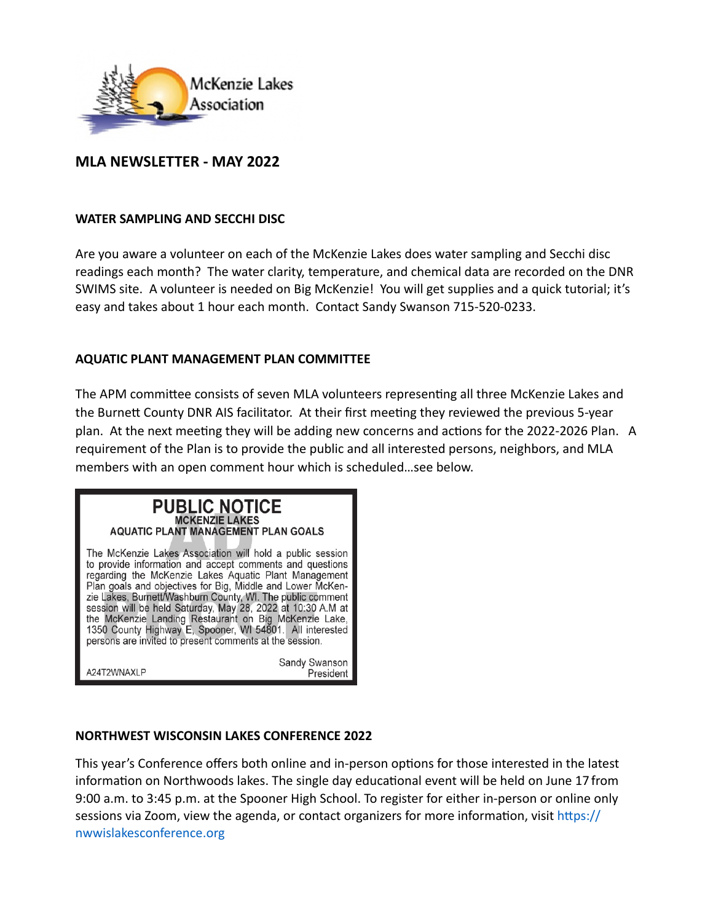

# **MLA NEWSLETTER - MAY 2022**

#### **WATER SAMPLING AND SECCHI DISC**

Are you aware a volunteer on each of the McKenzie Lakes does water sampling and Secchi disc readings each month? The water clarity, temperature, and chemical data are recorded on the DNR SWIMS site. A volunteer is needed on Big McKenzie! You will get supplies and a quick tutorial; it's easy and takes about 1 hour each month. Contact Sandy Swanson 715-520-0233.

### **AQUATIC PLANT MANAGEMENT PLAN COMMITTEE**

The APM committee consists of seven MLA volunteers representing all three McKenzie Lakes and the Burnett County DNR AIS facilitator. At their first meeting they reviewed the previous 5-year plan. At the next meeting they will be adding new concerns and actions for the 2022-2026 Plan. A requirement of the Plan is to provide the public and all interested persons, neighbors, and MLA members with an open comment hour which is scheduled…see below.

# **PUBLIC NOTICE MCKENZIE LAKES AQUATIC PLANT MANAGEMENT PLAN GOALS**

The McKenzie Lakes Association will hold a public session to provide information and accept comments and questions regarding the McKenzie Lakes Aquatic Plant Management Plan goals and objectives for Big, Middle and Lower McKenzie Lakes, Burnett/Washburn County, WI. The public comment<br>session will be held Saturday, May 28, 2022 at 10:30 A.M at the McKenzie Landing Restaurant on Big McKenzie Lake, 1350 County Highway E. Spooner, WI 54801. All interested persons are invited to present comments at the session.

A24T2WNAXLP

Sandy Swanson President

## **NORTHWEST WISCONSIN LAKES CONFERENCE 2022**

This year's Conference offers both online and in-person options for those interested in the latest information on Northwoods lakes. The single day educational event will be held on June 17 from 9:00 a.m. to 3:45 p.m. at the Spooner High School. To register for either in-person or online only sessions via Zoom, view the agenda, or contact organizers for more information, visit https:// nwwislakesconference.org